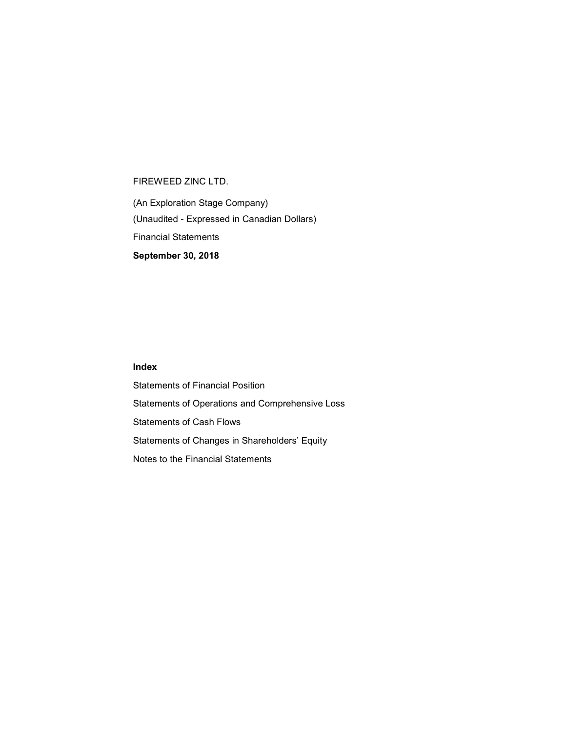(An Exploration Stage Company) (Unaudited - Expressed in Canadian Dollars) Financial Statements September 30, 2018

### Index

Statements of Financial Position Statements of Operations and Comprehensive Loss Statements of Cash Flows Statements of Changes in Shareholders' Equity Notes to the Financial Statements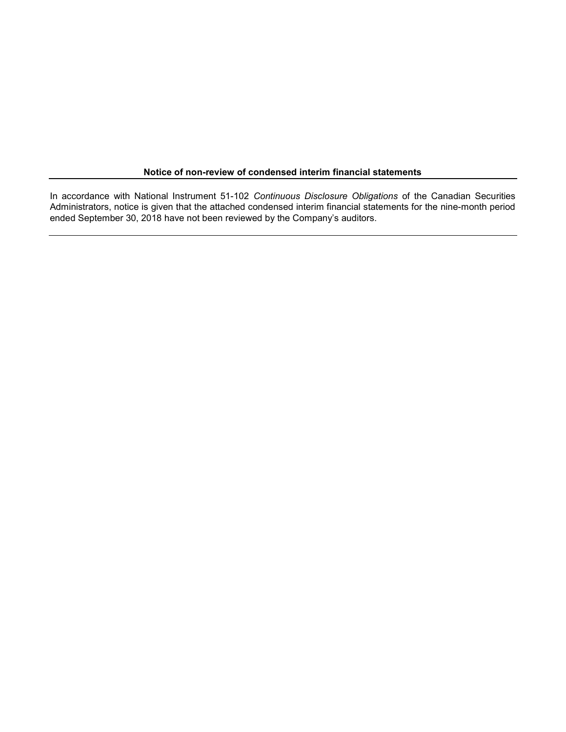#### Notice of non-review of condensed interim financial statements

In accordance with National Instrument 51-102 Continuous Disclosure Obligations of the Canadian Securities Administrators, notice is given that the attached condensed interim financial statements for the nine-month period ended September 30, 2018 have not been reviewed by the Company's auditors.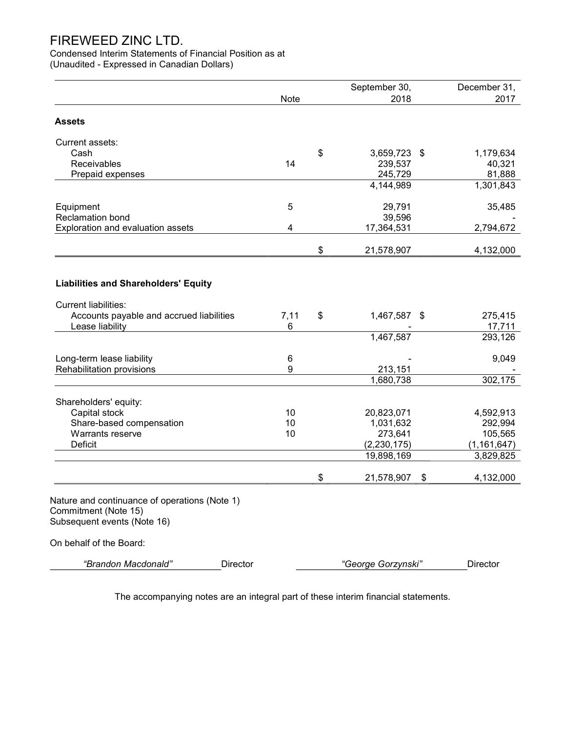Condensed Interim Statements of Financial Position as at (Unaudited - Expressed in Canadian Dollars)

|                                                                                                      |             | September 30,      | December 31,      |
|------------------------------------------------------------------------------------------------------|-------------|--------------------|-------------------|
|                                                                                                      | <b>Note</b> | 2018               | 2017              |
| <b>Assets</b>                                                                                        |             |                    |                   |
| Current assets:                                                                                      |             |                    |                   |
| Cash                                                                                                 |             | \$<br>3,659,723 \$ | 1,179,634         |
| Receivables                                                                                          | 14          | 239,537            | 40,321            |
| Prepaid expenses                                                                                     |             | 245,729            | 81,888            |
|                                                                                                      |             | 4,144,989          | 1,301,843         |
| Equipment                                                                                            | 5           | 29,791             | 35,485            |
| Reclamation bond                                                                                     |             | 39,596             |                   |
| Exploration and evaluation assets                                                                    | 4           | 17,364,531         | 2,794,672         |
|                                                                                                      |             | \$<br>21,578,907   | 4,132,000         |
| <b>Liabilities and Shareholders' Equity</b>                                                          |             |                    |                   |
|                                                                                                      |             |                    |                   |
| <b>Current liabilities:</b>                                                                          |             |                    |                   |
| Accounts payable and accrued liabilities<br>Lease liability                                          | 7,11<br>6   | \$<br>1,467,587 \$ | 275,415<br>17,711 |
|                                                                                                      |             | 1,467,587          | 293,126           |
| Long-term lease liability                                                                            | 6           |                    | 9,049             |
| Rehabilitation provisions                                                                            | 9           | 213,151            |                   |
|                                                                                                      |             | 1,680,738          | 302,175           |
| Shareholders' equity:                                                                                |             |                    |                   |
| Capital stock                                                                                        | 10          | 20,823,071         | 4,592,913         |
| Share-based compensation                                                                             | 10          | 1,031,632          | 292,994           |
| Warrants reserve                                                                                     | 10          | 273,641            | 105,565           |
| Deficit                                                                                              |             | (2, 230, 175)      | (1, 161, 647)     |
|                                                                                                      |             | 19,898,169         | 3,829,825         |
|                                                                                                      |             | \$<br>21,578,907   | \$<br>4,132,000   |
| Nature and continuance of operations (Note 1)<br>Commitment (Note 15)<br>Subsequent events (Note 16) |             |                    |                   |
| On behalf of the Board:                                                                              |             |                    |                   |
| "Brandon Macdonald"<br>Director                                                                      |             | "George Gorzynski" | Director          |

The accompanying notes are an integral part of these interim financial statements.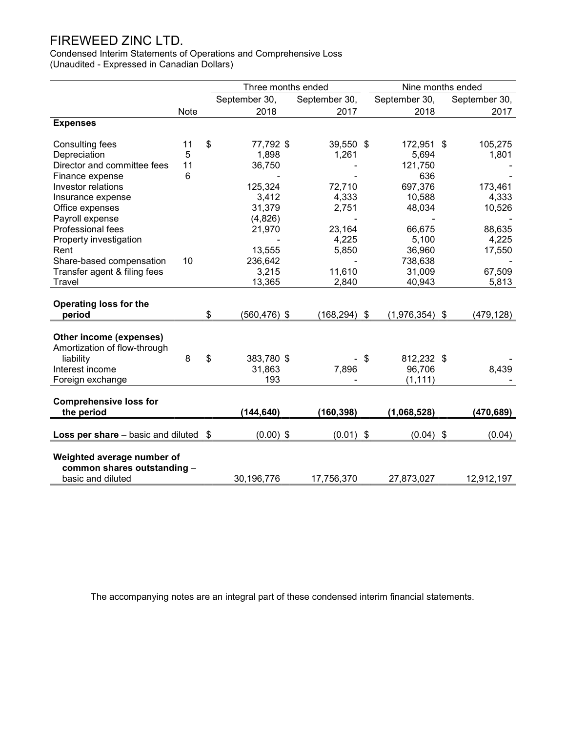Condensed Interim Statements of Operations and Comprehensive Loss (Unaudited - Expressed in Canadian Dollars)

|                                    |      | Three months ended |                 |               | Nine months ended |               |
|------------------------------------|------|--------------------|-----------------|---------------|-------------------|---------------|
|                                    |      | September 30,      | September 30,   |               | September 30,     | September 30, |
|                                    | Note | 2018               | 2017            |               | 2018              | 2017          |
| <b>Expenses</b>                    |      |                    |                 |               |                   |               |
| <b>Consulting fees</b>             | 11   | \$<br>77,792 \$    | 39,550 \$       |               | 172,951 \$        | 105,275       |
| Depreciation                       | 5    | 1,898              | 1,261           |               | 5,694             | 1,801         |
| Director and committee fees        | 11   | 36,750             |                 |               | 121,750           |               |
| Finance expense                    | 6    |                    |                 |               | 636               |               |
| Investor relations                 |      | 125,324            | 72,710          |               | 697,376           | 173,461       |
| Insurance expense                  |      | 3,412              | 4,333           |               | 10,588            | 4,333         |
| Office expenses                    |      | 31,379             | 2,751           |               | 48,034            | 10,526        |
| Payroll expense                    |      | (4,826)            |                 |               |                   |               |
| Professional fees                  |      | 21,970             | 23,164          |               | 66,675            | 88,635        |
| Property investigation             |      |                    | 4,225           |               | 5,100             | 4,225         |
| Rent                               |      | 13,555             | 5,850           |               | 36,960            | 17,550        |
| Share-based compensation           | 10   | 236,642            |                 |               | 738,638           |               |
| Transfer agent & filing fees       |      | 3,215              | 11,610          |               | 31,009            | 67,509        |
| Travel                             |      | 13,365             | 2,840           |               | 40,943            | 5,813         |
|                                    |      |                    |                 |               |                   |               |
| <b>Operating loss for the</b>      |      |                    |                 |               |                   |               |
| period                             |      | \$<br>(560,476) \$ | $(168, 294)$ \$ |               | $(1,976,354)$ \$  | (479, 128)    |
| Other income (expenses)            |      |                    |                 |               |                   |               |
| Amortization of flow-through       |      |                    |                 |               |                   |               |
| liability                          | 8    | \$<br>383,780 \$   |                 | \$            | 812,232 \$        |               |
| Interest income                    |      | 31,863             | 7,896           |               | 96,706            | 8,439         |
| Foreign exchange                   |      | 193                |                 |               | (1, 111)          |               |
|                                    |      |                    |                 |               |                   |               |
| <b>Comprehensive loss for</b>      |      |                    |                 |               |                   |               |
| the period                         |      | (144, 640)         | (160, 398)      |               | (1,068,528)       | (470, 689)    |
| Loss per share - basic and diluted |      | \$<br>$(0.00)$ \$  | (0.01)          | $\sqrt[6]{3}$ | $(0.04)$ \$       | (0.04)        |
|                                    |      |                    |                 |               |                   |               |
| Weighted average number of         |      |                    |                 |               |                   |               |
| common shares outstanding -        |      |                    |                 |               |                   |               |
| basic and diluted                  |      | 30,196,776         | 17,756,370      |               | 27,873,027        | 12,912,197    |

The accompanying notes are an integral part of these condensed interim financial statements.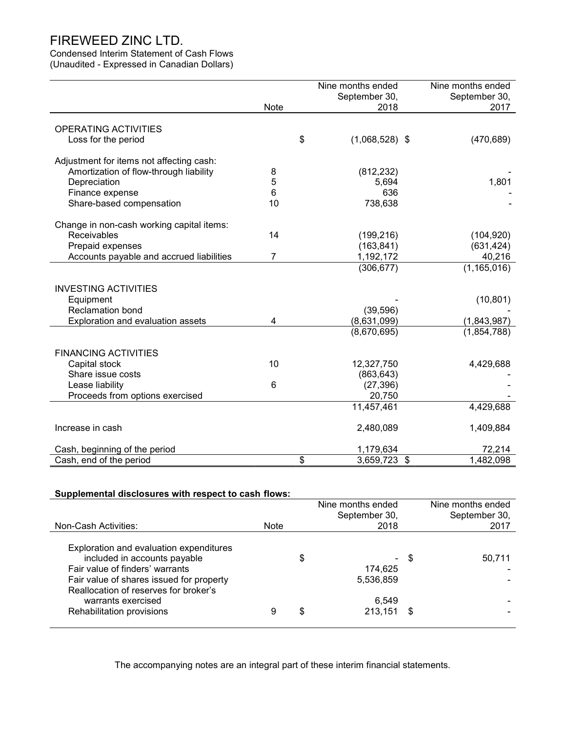### Condensed Interim Statement of Cash Flows

(Unaudited - Expressed in Canadian Dollars)

|                                           |      | Nine months ended      |                           | Nine months ended |
|-------------------------------------------|------|------------------------|---------------------------|-------------------|
|                                           |      | September 30,          |                           | September 30,     |
|                                           | Note | 2018                   |                           | 2017              |
|                                           |      |                        |                           |                   |
| <b>OPERATING ACTIVITIES</b>               |      |                        |                           |                   |
| Loss for the period                       |      | \$<br>$(1,068,528)$ \$ |                           | (470, 689)        |
|                                           |      |                        |                           |                   |
| Adjustment for items not affecting cash:  |      |                        |                           |                   |
| Amortization of flow-through liability    | 8    | (812, 232)             |                           |                   |
| Depreciation                              | 5    | 5,694                  |                           | 1,801             |
| Finance expense                           | 6    | 636                    |                           |                   |
| Share-based compensation                  | 10   | 738,638                |                           |                   |
|                                           |      |                        |                           |                   |
| Change in non-cash working capital items: |      |                        |                           |                   |
| Receivables                               | 14   | (199, 216)             |                           | (104, 920)        |
| Prepaid expenses                          |      | (163, 841)             |                           | (631, 424)        |
| Accounts payable and accrued liabilities  | 7    | 1,192,172              |                           | 40,216            |
|                                           |      | (306, 677)             |                           | (1, 165, 016)     |
|                                           |      |                        |                           |                   |
| <b>INVESTING ACTIVITIES</b>               |      |                        |                           |                   |
| Equipment                                 |      |                        |                           | (10, 801)         |
| <b>Reclamation bond</b>                   |      | (39, 596)              |                           |                   |
| Exploration and evaluation assets         | 4    | (8,631,099)            |                           | (1,843,987)       |
|                                           |      | (8,670,695)            |                           | (1,854,788)       |
|                                           |      |                        |                           |                   |
| <b>FINANCING ACTIVITIES</b>               |      |                        |                           |                   |
| Capital stock                             | 10   | 12,327,750             |                           | 4,429,688         |
| Share issue costs                         |      | (863, 643)             |                           |                   |
| Lease liability                           | 6    | (27, 396)              |                           |                   |
| Proceeds from options exercised           |      | 20,750                 |                           |                   |
|                                           |      | 11,457,461             |                           | 4,429,688         |
|                                           |      |                        |                           |                   |
| Increase in cash                          |      | 2,480,089              |                           | 1,409,884         |
| Cash, beginning of the period             |      | 1,179,634              |                           | 72,214            |
| Cash, end of the period                   |      | \$<br>3,659,723        | $\boldsymbol{\mathsf{S}}$ | 1,482,098         |

### Supplemental disclosures with respect to cash flows:

|                                                                                                                                                                                                 |             | Nine months ended<br>September 30, |      | Nine months ended<br>September 30, |
|-------------------------------------------------------------------------------------------------------------------------------------------------------------------------------------------------|-------------|------------------------------------|------|------------------------------------|
| Non-Cash Activities:                                                                                                                                                                            | <b>Note</b> | 2018                               |      | 2017                               |
| Exploration and evaluation expenditures<br>included in accounts payable<br>Fair value of finders' warrants<br>Fair value of shares issued for property<br>Reallocation of reserves for broker's |             | \$<br>٠<br>174.625<br>5,536,859    | \$   | 50,711                             |
| warrants exercised                                                                                                                                                                              |             | 6,549                              |      |                                    |
| Rehabilitation provisions                                                                                                                                                                       | 9           | \$<br>213,151                      | - \$ |                                    |
|                                                                                                                                                                                                 |             |                                    |      |                                    |

The accompanying notes are an integral part of these interim financial statements.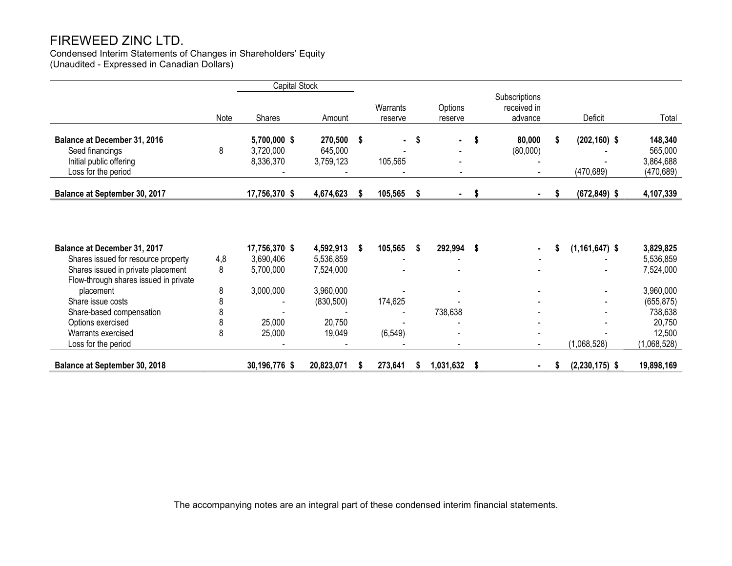Condensed Interim Statements of Changes in Shareholders' Equity (Unaudited - Expressed in Canadian Dollars)

|                                                                                                                    |          | <b>Capital Stock</b>                   |                                    |    |                     |    |                    |    |                                         |   |                               |                                               |
|--------------------------------------------------------------------------------------------------------------------|----------|----------------------------------------|------------------------------------|----|---------------------|----|--------------------|----|-----------------------------------------|---|-------------------------------|-----------------------------------------------|
|                                                                                                                    | Note     | Shares                                 | Amount                             |    | Warrants<br>reserve |    | Options<br>reserve |    | Subscriptions<br>received in<br>advance |   | Deficit                       | Total                                         |
| <b>Balance at December 31, 2016</b><br>Seed financings<br>Initial public offering<br>Loss for the period           | 8        | 5,700,000 \$<br>3,720,000<br>8,336,370 | 270,500 \$<br>645,000<br>3,759,123 |    | $\sim$<br>105,565   | -S | ٠                  | S  | 80,000<br>(80,000)                      | S | $(202, 160)$ \$<br>(470, 689) | 148,340<br>565,000<br>3,864,688<br>(470, 689) |
| Balance at September 30, 2017                                                                                      |          | 17,756,370 \$                          | 4,674,623                          | S  | 105,565             | \$ | $\sim 100$         | \$ |                                         | S | $(672, 849)$ \$               | 4,107,339                                     |
| Balance at December 31, 2017                                                                                       |          | 17,756,370 \$                          | 4,592,913                          | -S | 105,565             | S  | 292,994            | -S |                                         |   | $(1, 161, 647)$ \$            | 3,829,825                                     |
| Shares issued for resource property<br>Shares issued in private placement<br>Flow-through shares issued in private | 4,8<br>8 | 3,690,406<br>5,700,000                 | 5,536,859<br>7,524,000             |    |                     |    |                    |    |                                         |   |                               | 5,536,859<br>7,524,000                        |
| placement<br>Share issue costs                                                                                     | 8<br>8   | 3,000,000                              | 3,960,000<br>(830, 500)            |    | 174,625             |    |                    |    |                                         |   |                               | 3,960,000<br>(655, 875)                       |
| Share-based compensation<br>Options exercised                                                                      | 8<br>8   | 25,000                                 | 20,750                             |    |                     |    | 738,638            |    |                                         |   |                               | 738,638<br>20,750                             |
| Warrants exercised<br>Loss for the period                                                                          | 8        | 25,000                                 | 19,049                             |    | (6, 549)            |    |                    |    |                                         |   | (1,068,528)                   | 12,500<br>(1,068,528)                         |
| Balance at September 30, 2018                                                                                      |          | 30,196,776 \$                          | 20,823,071                         |    | 273,641             | S  | 1,031,632          | \$ |                                         |   | $(2,230,175)$ \$              | 19,898,169                                    |

The accompanying notes are an integral part of these condensed interim financial statements.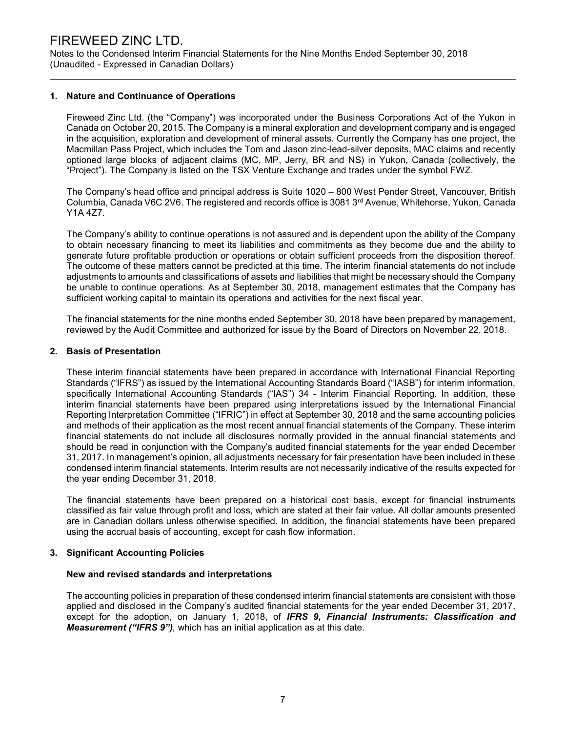Notes to the Condensed Interim Financial Statements for the Nine Months Ended September 30, 2018 (Unaudited - Expressed in Canadian Dollars)

#### 1. Nature and Continuance of Operations

Fireweed Zinc Ltd. (the "Company") was incorporated under the Business Corporations Act of the Yukon in Canada on October 20, 2015. The Company is a mineral exploration and development company and is engaged in the acquisition, exploration and development of mineral assets. Currently the Company has one project, the Macmillan Pass Project, which includes the Tom and Jason zinc-lead-silver deposits, MAC claims and recently optioned large blocks of adjacent claims (MC, MP, Jerry, BR and NS) in Yukon, Canada (collectively, the "Project"). The Company is listed on the TSX Venture Exchange and trades under the symbol FWZ.

The Company's head office and principal address is Suite 1020 – 800 West Pender Street, Vancouver, British Columbia, Canada V6C 2V6. The registered and records office is 3081 3rd Avenue, Whitehorse, Yukon, Canada Y1A 4Z7.

The Company's ability to continue operations is not assured and is dependent upon the ability of the Company to obtain necessary financing to meet its liabilities and commitments as they become due and the ability to generate future profitable production or operations or obtain sufficient proceeds from the disposition thereof. The outcome of these matters cannot be predicted at this time. The interim financial statements do not include adjustments to amounts and classifications of assets and liabilities that might be necessary should the Company be unable to continue operations. As at September 30, 2018, management estimates that the Company has sufficient working capital to maintain its operations and activities for the next fiscal year.

The financial statements for the nine months ended September 30, 2018 have been prepared by management, reviewed by the Audit Committee and authorized for issue by the Board of Directors on November 22, 2018.

#### 2. Basis of Presentation

These interim financial statements have been prepared in accordance with International Financial Reporting Standards ("IFRS") as issued by the International Accounting Standards Board ("IASB") for interim information, specifically International Accounting Standards ("IAS") 34 - Interim Financial Reporting. In addition, these interim financial statements have been prepared using interpretations issued by the International Financial Reporting Interpretation Committee ("IFRIC") in effect at September 30, 2018 and the same accounting policies and methods of their application as the most recent annual financial statements of the Company. These interim financial statements do not include all disclosures normally provided in the annual financial statements and should be read in conjunction with the Company's audited financial statements for the year ended December 31, 2017. In management's opinion, all adjustments necessary for fair presentation have been included in these condensed interim financial statements. Interim results are not necessarily indicative of the results expected for the year ending December 31, 2018.

The financial statements have been prepared on a historical cost basis, except for financial instruments classified as fair value through profit and loss, which are stated at their fair value. All dollar amounts presented are in Canadian dollars unless otherwise specified. In addition, the financial statements have been prepared using the accrual basis of accounting, except for cash flow information.

#### 3. Significant Accounting Policies

#### New and revised standards and interpretations

The accounting policies in preparation of these condensed interim financial statements are consistent with those applied and disclosed in the Company's audited financial statements for the year ended December 31, 2017, except for the adoption, on January 1, 2018, of **IFRS 9, Financial Instruments: Classification and** Measurement ("IFRS 9"), which has an initial application as at this date.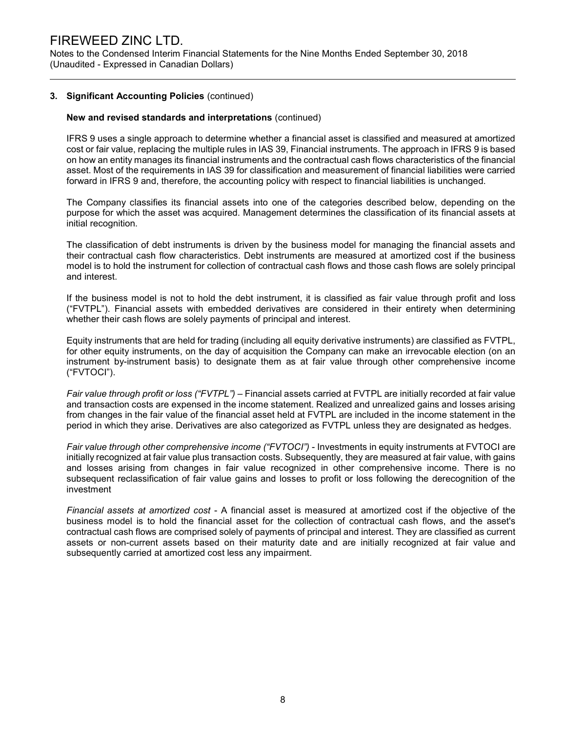Notes to the Condensed Interim Financial Statements for the Nine Months Ended September 30, 2018 (Unaudited - Expressed in Canadian Dollars)

#### 3. Significant Accounting Policies (continued)

#### New and revised standards and interpretations (continued)

IFRS 9 uses a single approach to determine whether a financial asset is classified and measured at amortized cost or fair value, replacing the multiple rules in IAS 39, Financial instruments. The approach in IFRS 9 is based on how an entity manages its financial instruments and the contractual cash flows characteristics of the financial asset. Most of the requirements in IAS 39 for classification and measurement of financial liabilities were carried forward in IFRS 9 and, therefore, the accounting policy with respect to financial liabilities is unchanged.

The Company classifies its financial assets into one of the categories described below, depending on the purpose for which the asset was acquired. Management determines the classification of its financial assets at initial recognition.

The classification of debt instruments is driven by the business model for managing the financial assets and their contractual cash flow characteristics. Debt instruments are measured at amortized cost if the business model is to hold the instrument for collection of contractual cash flows and those cash flows are solely principal and interest.

If the business model is not to hold the debt instrument, it is classified as fair value through profit and loss ("FVTPL"). Financial assets with embedded derivatives are considered in their entirety when determining whether their cash flows are solely payments of principal and interest.

Equity instruments that are held for trading (including all equity derivative instruments) are classified as FVTPL, for other equity instruments, on the day of acquisition the Company can make an irrevocable election (on an instrument by-instrument basis) to designate them as at fair value through other comprehensive income ("FVTOCI").

Fair value through profit or loss ("FVTPL") – Financial assets carried at FVTPL are initially recorded at fair value and transaction costs are expensed in the income statement. Realized and unrealized gains and losses arising from changes in the fair value of the financial asset held at FVTPL are included in the income statement in the period in which they arise. Derivatives are also categorized as FVTPL unless they are designated as hedges.

Fair value through other comprehensive income ("FVTOCI") - Investments in equity instruments at FVTOCI are initially recognized at fair value plus transaction costs. Subsequently, they are measured at fair value, with gains and losses arising from changes in fair value recognized in other comprehensive income. There is no subsequent reclassification of fair value gains and losses to profit or loss following the derecognition of the investment

Financial assets at amortized cost - A financial asset is measured at amortized cost if the objective of the business model is to hold the financial asset for the collection of contractual cash flows, and the asset's contractual cash flows are comprised solely of payments of principal and interest. They are classified as current assets or non-current assets based on their maturity date and are initially recognized at fair value and subsequently carried at amortized cost less any impairment.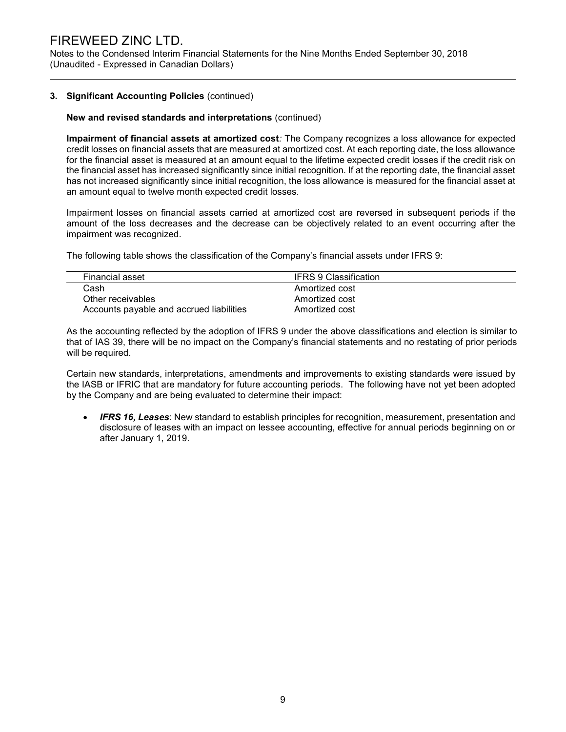Notes to the Condensed Interim Financial Statements for the Nine Months Ended September 30, 2018 (Unaudited - Expressed in Canadian Dollars)

#### 3. Significant Accounting Policies (continued)

#### New and revised standards and interpretations (continued)

Impairment of financial assets at amortized cost: The Company recognizes a loss allowance for expected credit losses on financial assets that are measured at amortized cost. At each reporting date, the loss allowance for the financial asset is measured at an amount equal to the lifetime expected credit losses if the credit risk on the financial asset has increased significantly since initial recognition. If at the reporting date, the financial asset has not increased significantly since initial recognition, the loss allowance is measured for the financial asset at an amount equal to twelve month expected credit losses.

Impairment losses on financial assets carried at amortized cost are reversed in subsequent periods if the amount of the loss decreases and the decrease can be objectively related to an event occurring after the impairment was recognized.

The following table shows the classification of the Company's financial assets under IFRS 9:

| Financial asset                          | IFRS 9 Classification |  |
|------------------------------------------|-----------------------|--|
| Cash                                     | Amortized cost        |  |
| Other receivables                        | Amortized cost        |  |
| Accounts payable and accrued liabilities | Amortized cost        |  |

As the accounting reflected by the adoption of IFRS 9 under the above classifications and election is similar to that of IAS 39, there will be no impact on the Company's financial statements and no restating of prior periods will be required.

Certain new standards, interpretations, amendments and improvements to existing standards were issued by the IASB or IFRIC that are mandatory for future accounting periods. The following have not yet been adopted by the Company and are being evaluated to determine their impact:

**IFRS 16, Leases:** New standard to establish principles for recognition, measurement, presentation and disclosure of leases with an impact on lessee accounting, effective for annual periods beginning on or after January 1, 2019.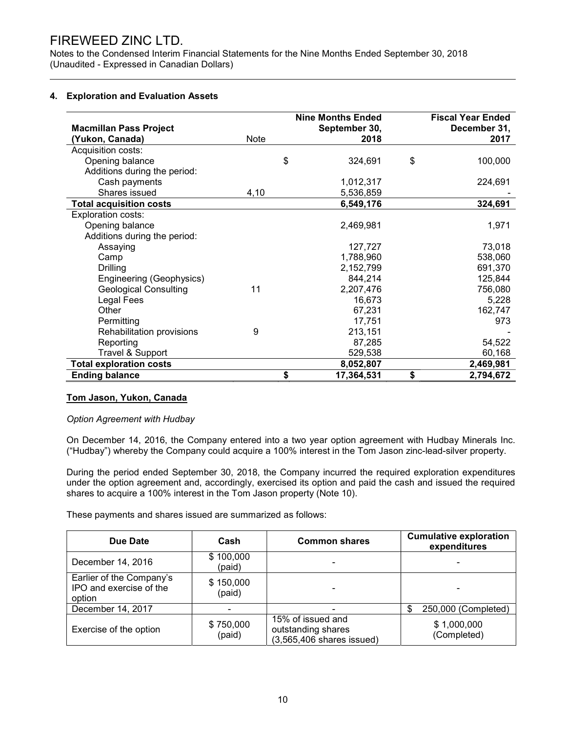Notes to the Condensed Interim Financial Statements for the Nine Months Ended September 30, 2018 (Unaudited - Expressed in Canadian Dollars)

#### 4. Exploration and Evaluation Assets

|                                |      | <b>Nine Months Ended</b> | <b>Fiscal Year Ended</b> |
|--------------------------------|------|--------------------------|--------------------------|
| <b>Macmillan Pass Project</b>  |      | September 30,            | December 31,             |
| (Yukon, Canada)                | Note | 2018                     | 2017                     |
| Acquisition costs:             |      |                          |                          |
| Opening balance                |      | \$<br>324,691            | \$<br>100,000            |
| Additions during the period:   |      |                          |                          |
| Cash payments                  |      | 1,012,317                | 224,691                  |
| Shares issued                  | 4,10 | 5,536,859                |                          |
| <b>Total acquisition costs</b> |      | 6,549,176                | 324,691                  |
| Exploration costs:             |      |                          |                          |
| Opening balance                |      | 2,469,981                | 1,971                    |
| Additions during the period:   |      |                          |                          |
| Assaying                       |      | 127,727                  | 73,018                   |
| Camp                           |      | 1,788,960                | 538,060                  |
| Drilling                       |      | 2,152,799                | 691,370                  |
| Engineering (Geophysics)       |      | 844,214                  | 125,844                  |
| <b>Geological Consulting</b>   | 11   | 2,207,476                | 756,080                  |
| Legal Fees                     |      | 16,673                   | 5,228                    |
| Other                          |      | 67,231                   | 162,747                  |
| Permitting                     |      | 17,751                   | 973                      |
| Rehabilitation provisions      | 9    | 213,151                  |                          |
| Reporting                      |      | 87,285                   | 54,522                   |
| Travel & Support               |      | 529,538                  | 60,168                   |
| <b>Total exploration costs</b> |      | 8,052,807                | 2,469,981                |
| <b>Ending balance</b>          |      | \$<br>17,364,531         | \$<br>2,794,672          |

#### Tom Jason, Yukon, Canada

#### Option Agreement with Hudbay

On December 14, 2016, the Company entered into a two year option agreement with Hudbay Minerals Inc. ("Hudbay") whereby the Company could acquire a 100% interest in the Tom Jason zinc-lead-silver property.

During the period ended September 30, 2018, the Company incurred the required exploration expenditures under the option agreement and, accordingly, exercised its option and paid the cash and issued the required shares to acquire a 100% interest in the Tom Jason property (Note 10).

These payments and shares issued are summarized as follows:

| Due Date                                                      | Cash                | <b>Common shares</b>                                                    | <b>Cumulative exploration</b><br>expenditures |
|---------------------------------------------------------------|---------------------|-------------------------------------------------------------------------|-----------------------------------------------|
| December 14, 2016                                             | \$100,000<br>(paid) |                                                                         |                                               |
| Earlier of the Company's<br>IPO and exercise of the<br>option | \$150,000<br>(paid) | $\overline{\phantom{0}}$                                                |                                               |
| December 14, 2017                                             |                     |                                                                         | 250,000 (Completed)<br>S                      |
| Exercise of the option                                        | \$750,000<br>(paid) | 15% of issued and<br>outstanding shares<br>$(3,565,406)$ shares issued) | \$1,000,000<br>(Completed)                    |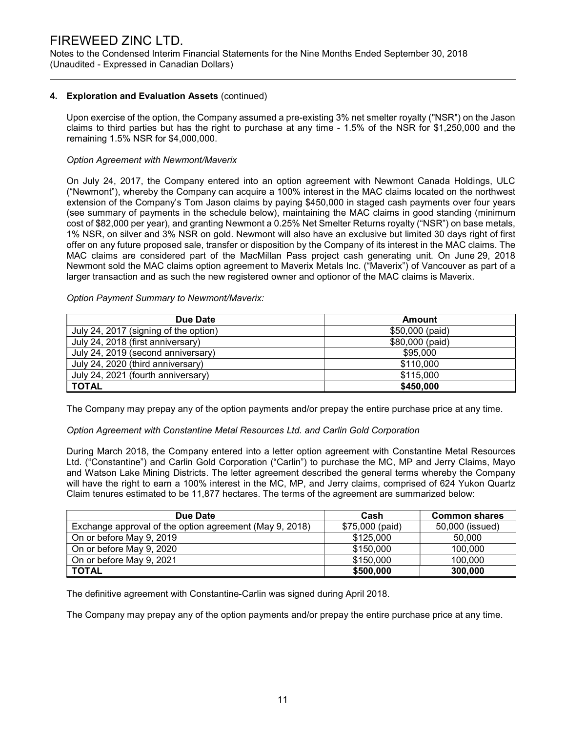Notes to the Condensed Interim Financial Statements for the Nine Months Ended September 30, 2018 (Unaudited - Expressed in Canadian Dollars)

#### 4. Exploration and Evaluation Assets (continued)

Upon exercise of the option, the Company assumed a pre-existing 3% net smelter royalty ("NSR") on the Jason claims to third parties but has the right to purchase at any time - 1.5% of the NSR for \$1,250,000 and the remaining 1.5% NSR for \$4,000,000.

#### Option Agreement with Newmont/Maverix

On July 24, 2017, the Company entered into an option agreement with Newmont Canada Holdings, ULC ("Newmont"), whereby the Company can acquire a 100% interest in the MAC claims located on the northwest extension of the Company's Tom Jason claims by paying \$450,000 in staged cash payments over four years (see summary of payments in the schedule below), maintaining the MAC claims in good standing (minimum cost of \$82,000 per year), and granting Newmont a 0.25% Net Smelter Returns royalty ("NSR") on base metals, 1% NSR, on silver and 3% NSR on gold. Newmont will also have an exclusive but limited 30 days right of first offer on any future proposed sale, transfer or disposition by the Company of its interest in the MAC claims. The MAC claims are considered part of the MacMillan Pass project cash generating unit. On June 29, 2018 Newmont sold the MAC claims option agreement to Maverix Metals Inc. ("Maverix") of Vancouver as part of a larger transaction and as such the new registered owner and optionor of the MAC claims is Maverix.

#### Option Payment Summary to Newmont/Maverix:

| Due Date                              | <b>Amount</b>   |
|---------------------------------------|-----------------|
| July 24, 2017 (signing of the option) | \$50,000 (paid) |
| July 24, 2018 (first anniversary)     | \$80,000 (paid) |
| July 24, 2019 (second anniversary)    | \$95,000        |
| July 24, 2020 (third anniversary)     | \$110,000       |
| July 24, 2021 (fourth anniversary)    | \$115,000       |
| <b>TOTAL</b>                          | \$450,000       |

The Company may prepay any of the option payments and/or prepay the entire purchase price at any time.

#### Option Agreement with Constantine Metal Resources Ltd. and Carlin Gold Corporation

During March 2018, the Company entered into a letter option agreement with Constantine Metal Resources Ltd. ("Constantine") and Carlin Gold Corporation ("Carlin") to purchase the MC, MP and Jerry Claims, Mayo and Watson Lake Mining Districts. The letter agreement described the general terms whereby the Company will have the right to earn a 100% interest in the MC, MP, and Jerry claims, comprised of 624 Yukon Quartz Claim tenures estimated to be 11,877 hectares. The terms of the agreement are summarized below:

| Due Date                                                | Cash            | <b>Common shares</b> |
|---------------------------------------------------------|-----------------|----------------------|
| Exchange approval of the option agreement (May 9, 2018) | \$75,000 (paid) | 50,000 (issued)      |
| On or before May 9, 2019                                | \$125,000       | 50,000               |
| On or before May 9, 2020                                | \$150,000       | 100,000              |
| On or before May 9, 2021                                | \$150,000       | 100,000              |
| <b>TOTAL</b>                                            | \$500,000       | 300,000              |

The definitive agreement with Constantine-Carlin was signed during April 2018.

The Company may prepay any of the option payments and/or prepay the entire purchase price at any time.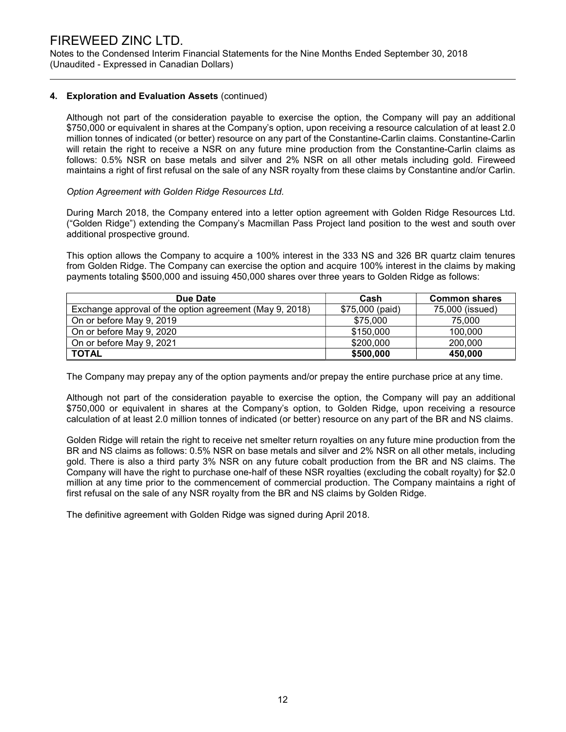Notes to the Condensed Interim Financial Statements for the Nine Months Ended September 30, 2018 (Unaudited - Expressed in Canadian Dollars)

#### 4. Exploration and Evaluation Assets (continued)

Although not part of the consideration payable to exercise the option, the Company will pay an additional \$750,000 or equivalent in shares at the Company's option, upon receiving a resource calculation of at least 2.0 million tonnes of indicated (or better) resource on any part of the Constantine-Carlin claims. Constantine-Carlin will retain the right to receive a NSR on any future mine production from the Constantine-Carlin claims as follows: 0.5% NSR on base metals and silver and 2% NSR on all other metals including gold. Fireweed maintains a right of first refusal on the sale of any NSR royalty from these claims by Constantine and/or Carlin.

#### Option Agreement with Golden Ridge Resources Ltd.

During March 2018, the Company entered into a letter option agreement with Golden Ridge Resources Ltd. ("Golden Ridge") extending the Company's Macmillan Pass Project land position to the west and south over additional prospective ground.

This option allows the Company to acquire a 100% interest in the 333 NS and 326 BR quartz claim tenures from Golden Ridge. The Company can exercise the option and acquire 100% interest in the claims by making payments totaling \$500,000 and issuing 450,000 shares over three years to Golden Ridge as follows:

| Due Date                                                | Cash            | <b>Common shares</b> |
|---------------------------------------------------------|-----------------|----------------------|
| Exchange approval of the option agreement (May 9, 2018) | \$75,000 (paid) | 75,000 (issued)      |
| On or before May 9, 2019                                | \$75,000        | 75.000               |
| On or before May 9, 2020                                | \$150,000       | 100,000              |
| On or before May 9, 2021                                | \$200,000       | 200,000              |
| <b>TOTAL</b>                                            | \$500,000       | 450,000              |

The Company may prepay any of the option payments and/or prepay the entire purchase price at any time.

Although not part of the consideration payable to exercise the option, the Company will pay an additional \$750,000 or equivalent in shares at the Company's option, to Golden Ridge, upon receiving a resource calculation of at least 2.0 million tonnes of indicated (or better) resource on any part of the BR and NS claims.

Golden Ridge will retain the right to receive net smelter return royalties on any future mine production from the BR and NS claims as follows: 0.5% NSR on base metals and silver and 2% NSR on all other metals, including gold. There is also a third party 3% NSR on any future cobalt production from the BR and NS claims. The Company will have the right to purchase one-half of these NSR royalties (excluding the cobalt royalty) for \$2.0 million at any time prior to the commencement of commercial production. The Company maintains a right of first refusal on the sale of any NSR royalty from the BR and NS claims by Golden Ridge.

The definitive agreement with Golden Ridge was signed during April 2018.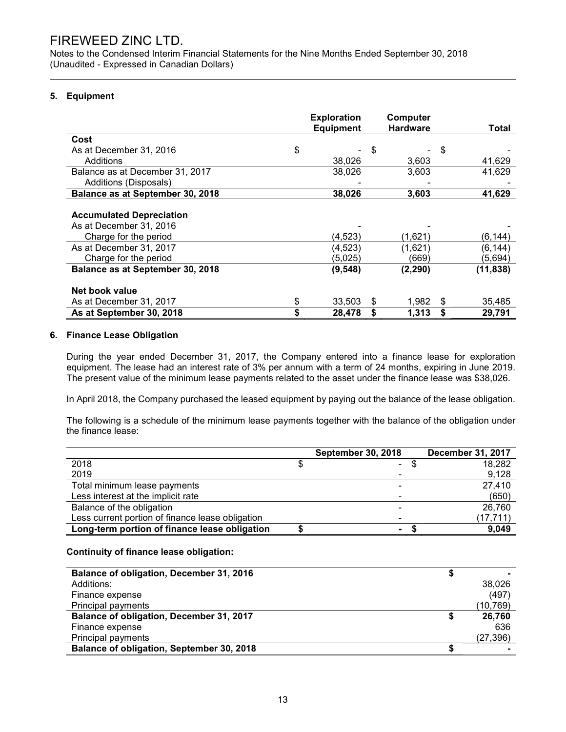Notes to the Condensed Interim Financial Statements for the Nine Months Ended September 30, 2018 (Unaudited - Expressed in Canadian Dollars)

#### 5. Equipment

|                                  | <b>Exploration</b> | Computer        |              |
|----------------------------------|--------------------|-----------------|--------------|
|                                  | <b>Equipment</b>   | <b>Hardware</b> | Total        |
| Cost                             |                    |                 |              |
| \$<br>As at December 31, 2016    |                    | \$              | \$           |
| Additions                        | 38,026             | 3,603           | 41,629       |
| Balance as at December 31, 2017  | 38,026             | 3,603           | 41,629       |
| Additions (Disposals)            |                    |                 |              |
| Balance as at September 30, 2018 | 38,026             | 3,603           | 41,629       |
|                                  |                    |                 |              |
| <b>Accumulated Depreciation</b>  |                    |                 |              |
| As at December 31, 2016          |                    |                 |              |
| Charge for the period            | (4, 523)           | (1,621)         | (6, 144)     |
| As at December 31, 2017          | (4, 523)           | (1,621)         | (6, 144)     |
| Charge for the period            | (5,025)            | (669)           | (5,694)      |
| Balance as at September 30, 2018 | (9, 548)           | (2, 290)        | (11, 838)    |
|                                  |                    |                 |              |
| Net book value                   |                    |                 |              |
| \$<br>As at December 31, 2017    | 33,503             | 1,982<br>S      | \$<br>35,485 |
| \$<br>As at September 30, 2018   | 28,478             | 1,313           | \$<br>29,791 |

#### 6. Finance Lease Obligation

During the year ended December 31, 2017, the Company entered into a finance lease for exploration equipment. The lease had an interest rate of 3% per annum with a term of 24 months, expiring in June 2019. The present value of the minimum lease payments related to the asset under the finance lease was \$38,026.

In April 2018, the Company purchased the leased equipment by paying out the balance of the lease obligation.

The following is a schedule of the minimum lease payments together with the balance of the obligation under the finance lease:

|                                                  | <b>September 30, 2018</b> | <b>December 31, 2017</b> |
|--------------------------------------------------|---------------------------|--------------------------|
| 2018                                             | $\sim 100$                | 18,282                   |
| 2019                                             | $\blacksquare$            | 9,128                    |
| Total minimum lease payments                     | $\blacksquare$            | 27,410                   |
| Less interest at the implicit rate               |                           | (650)                    |
| Balance of the obligation                        |                           | 26,760                   |
| Less current portion of finance lease obligation | $\blacksquare$            | (17, 711)                |
| Long-term portion of finance lease obligation    | ۰                         | 9,049                    |

#### Continuity of finance lease obligation:

| Balance of obligation, December 31, 2016  |           |
|-------------------------------------------|-----------|
| Additions:                                | 38.026    |
| Finance expense                           | (497)     |
| Principal payments                        | (10,769)  |
| Balance of obligation, December 31, 2017  | 26,760    |
| Finance expense                           | 636       |
| Principal payments                        | (27, 396) |
| Balance of obligation, September 30, 2018 |           |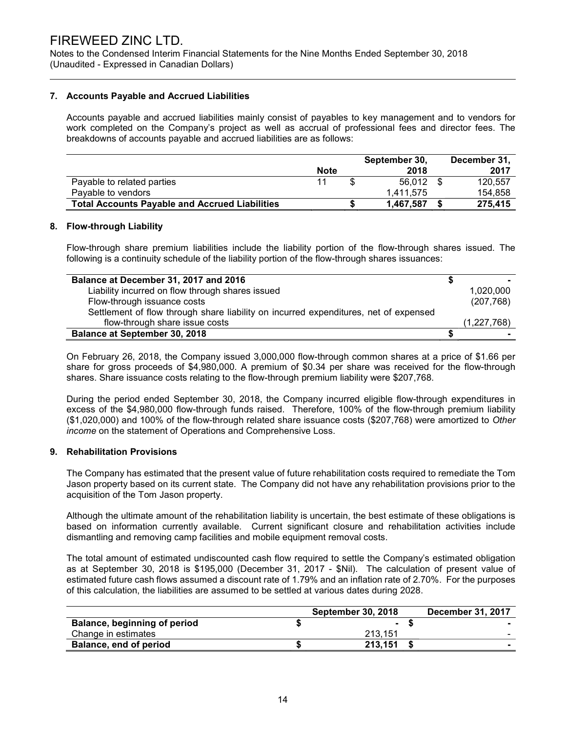Notes to the Condensed Interim Financial Statements for the Nine Months Ended September 30, 2018 (Unaudited - Expressed in Canadian Dollars)

#### 7. Accounts Payable and Accrued Liabilities

 Accounts payable and accrued liabilities mainly consist of payables to key management and to vendors for work completed on the Company's project as well as accrual of professional fees and director fees. The breakdowns of accounts payable and accrued liabilities are as follows:

|                                                       | <b>Note</b> | September 30,<br>2018 | December 31,<br>2017 |
|-------------------------------------------------------|-------------|-----------------------|----------------------|
| Payable to related parties                            | 11          | 56.012 \$             | 120.557              |
| Pavable to vendors                                    |             | 1.411.575             | 154.858              |
| <b>Total Accounts Payable and Accrued Liabilities</b> |             | 1.467.587             | 275,415              |

#### 8. Flow-through Liability

Flow-through share premium liabilities include the liability portion of the flow-through shares issued. The following is a continuity schedule of the liability portion of the flow-through shares issuances:

| Balance at December 31, 2017 and 2016                                                |             |
|--------------------------------------------------------------------------------------|-------------|
| Liability incurred on flow through shares issued                                     | 1,020,000   |
| Flow-through issuance costs                                                          | (207, 768)  |
| Settlement of flow through share liability on incurred expenditures, net of expensed |             |
| flow-through share issue costs                                                       | (1,227,768) |
| <b>Balance at September 30, 2018</b>                                                 |             |

On February 26, 2018, the Company issued 3,000,000 flow-through common shares at a price of \$1.66 per share for gross proceeds of \$4,980,000. A premium of \$0.34 per share was received for the flow-through shares. Share issuance costs relating to the flow-through premium liability were \$207,768.

During the period ended September 30, 2018, the Company incurred eligible flow-through expenditures in excess of the \$4,980,000 flow-through funds raised. Therefore, 100% of the flow-through premium liability (\$1,020,000) and 100% of the flow-through related share issuance costs (\$207,768) were amortized to Other income on the statement of Operations and Comprehensive Loss.

#### 9. Rehabilitation Provisions

The Company has estimated that the present value of future rehabilitation costs required to remediate the Tom Jason property based on its current state. The Company did not have any rehabilitation provisions prior to the acquisition of the Tom Jason property.

Although the ultimate amount of the rehabilitation liability is uncertain, the best estimate of these obligations is based on information currently available. Current significant closure and rehabilitation activities include dismantling and removing camp facilities and mobile equipment removal costs.

The total amount of estimated undiscounted cash flow required to settle the Company's estimated obligation as at September 30, 2018 is \$195,000 (December 31, 2017 - \$Nil). The calculation of present value of estimated future cash flows assumed a discount rate of 1.79% and an inflation rate of 2.70%. For the purposes of this calculation, the liabilities are assumed to be settled at various dates during 2028.

|                                     | <b>September 30, 2018</b> | <b>December 31, 2017</b> |
|-------------------------------------|---------------------------|--------------------------|
| <b>Balance, beginning of period</b> |                           |                          |
| Change in estimates                 | 213.151                   |                          |
| Balance, end of period              | 213.151                   |                          |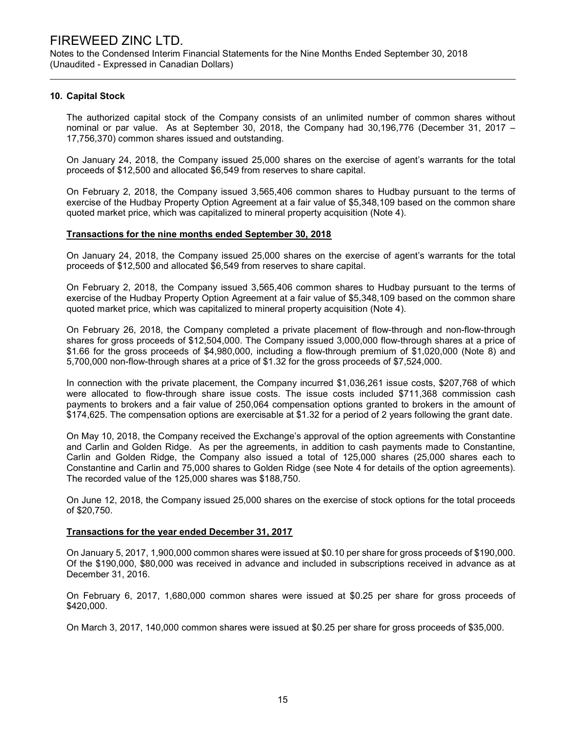Notes to the Condensed Interim Financial Statements for the Nine Months Ended September 30, 2018 (Unaudited - Expressed in Canadian Dollars)

#### 10. Capital Stock

The authorized capital stock of the Company consists of an unlimited number of common shares without nominal or par value. As at September 30, 2018, the Company had 30,196,776 (December 31, 2017 – 17,756,370) common shares issued and outstanding.

On January 24, 2018, the Company issued 25,000 shares on the exercise of agent's warrants for the total proceeds of \$12,500 and allocated \$6,549 from reserves to share capital.

On February 2, 2018, the Company issued 3,565,406 common shares to Hudbay pursuant to the terms of exercise of the Hudbay Property Option Agreement at a fair value of \$5,348,109 based on the common share quoted market price, which was capitalized to mineral property acquisition (Note 4).

#### Transactions for the nine months ended September 30, 2018

On January 24, 2018, the Company issued 25,000 shares on the exercise of agent's warrants for the total proceeds of \$12,500 and allocated \$6,549 from reserves to share capital.

On February 2, 2018, the Company issued 3,565,406 common shares to Hudbay pursuant to the terms of exercise of the Hudbay Property Option Agreement at a fair value of \$5,348,109 based on the common share quoted market price, which was capitalized to mineral property acquisition (Note 4).

On February 26, 2018, the Company completed a private placement of flow-through and non-flow-through shares for gross proceeds of \$12,504,000. The Company issued 3,000,000 flow-through shares at a price of \$1.66 for the gross proceeds of \$4,980,000, including a flow-through premium of \$1,020,000 (Note 8) and 5,700,000 non-flow-through shares at a price of \$1.32 for the gross proceeds of \$7,524,000.

In connection with the private placement, the Company incurred \$1,036,261 issue costs, \$207,768 of which were allocated to flow-through share issue costs. The issue costs included \$711,368 commission cash payments to brokers and a fair value of 250,064 compensation options granted to brokers in the amount of \$174,625. The compensation options are exercisable at \$1.32 for a period of 2 years following the grant date.

On May 10, 2018, the Company received the Exchange's approval of the option agreements with Constantine and Carlin and Golden Ridge. As per the agreements, in addition to cash payments made to Constantine, Carlin and Golden Ridge, the Company also issued a total of 125,000 shares (25,000 shares each to Constantine and Carlin and 75,000 shares to Golden Ridge (see Note 4 for details of the option agreements). The recorded value of the 125,000 shares was \$188,750.

On June 12, 2018, the Company issued 25,000 shares on the exercise of stock options for the total proceeds of \$20,750.

#### Transactions for the year ended December 31, 2017

On January 5, 2017, 1,900,000 common shares were issued at \$0.10 per share for gross proceeds of \$190,000. Of the \$190,000, \$80,000 was received in advance and included in subscriptions received in advance as at December 31, 2016.

On February 6, 2017, 1,680,000 common shares were issued at \$0.25 per share for gross proceeds of \$420,000.

On March 3, 2017, 140,000 common shares were issued at \$0.25 per share for gross proceeds of \$35,000.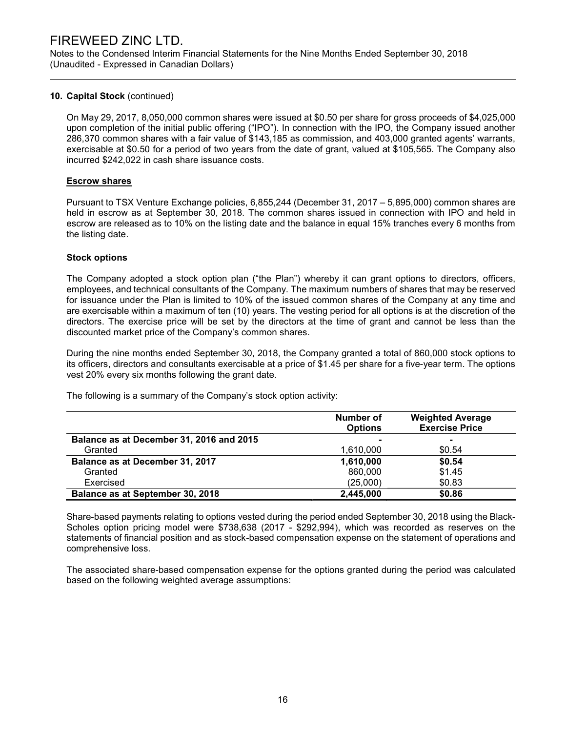Notes to the Condensed Interim Financial Statements for the Nine Months Ended September 30, 2018 (Unaudited - Expressed in Canadian Dollars)

#### 10. Capital Stock (continued)

On May 29, 2017, 8,050,000 common shares were issued at \$0.50 per share for gross proceeds of \$4,025,000 upon completion of the initial public offering ("IPO"). In connection with the IPO, the Company issued another 286,370 common shares with a fair value of \$143,185 as commission, and 403,000 granted agents' warrants, exercisable at \$0.50 for a period of two years from the date of grant, valued at \$105,565. The Company also incurred \$242,022 in cash share issuance costs.

#### Escrow shares

Pursuant to TSX Venture Exchange policies, 6,855,244 (December 31, 2017 – 5,895,000) common shares are held in escrow as at September 30, 2018. The common shares issued in connection with IPO and held in escrow are released as to 10% on the listing date and the balance in equal 15% tranches every 6 months from the listing date.

#### Stock options

The Company adopted a stock option plan ("the Plan") whereby it can grant options to directors, officers, employees, and technical consultants of the Company. The maximum numbers of shares that may be reserved for issuance under the Plan is limited to 10% of the issued common shares of the Company at any time and are exercisable within a maximum of ten (10) years. The vesting period for all options is at the discretion of the directors. The exercise price will be set by the directors at the time of grant and cannot be less than the discounted market price of the Company's common shares.

During the nine months ended September 30, 2018, the Company granted a total of 860,000 stock options to its officers, directors and consultants exercisable at a price of \$1.45 per share for a five-year term. The options vest 20% every six months following the grant date.

Number of **Options** Weighted Average Exercise Price Balance as at December 31, 2016 and 2015 Granted \$0.54 Balance as at December 31, 2017 1,610,000 \$0.54 Granted **860,000** \$1.45 Exercised (25,000) \$0.83 Balance as at September 30, 2018 2,445,000 \$0.86

The following is a summary of the Company's stock option activity:

Share-based payments relating to options vested during the period ended September 30, 2018 using the Black-Scholes option pricing model were \$738,638 (2017 - \$292,994), which was recorded as reserves on the statements of financial position and as stock-based compensation expense on the statement of operations and comprehensive loss.

The associated share-based compensation expense for the options granted during the period was calculated based on the following weighted average assumptions: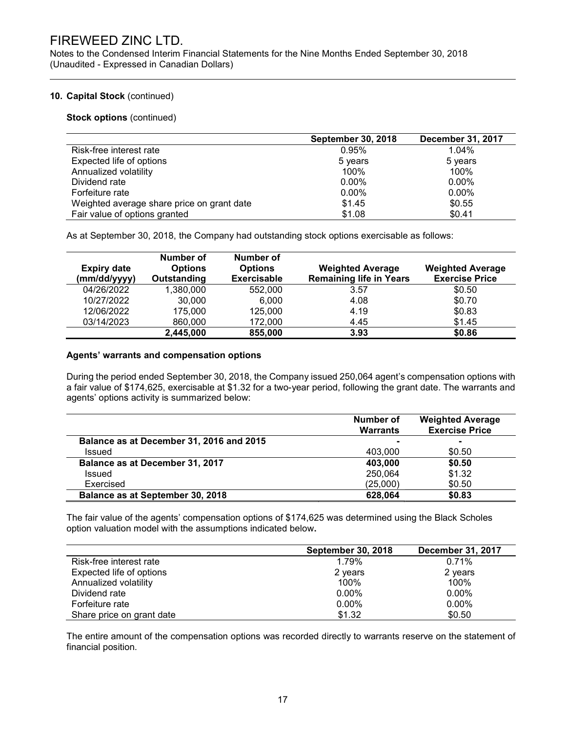Notes to the Condensed Interim Financial Statements for the Nine Months Ended September 30, 2018 (Unaudited - Expressed in Canadian Dollars)

#### 10. Capital Stock (continued)

Stock options (continued)

|                                            | <b>September 30, 2018</b> | <b>December 31, 2017</b> |
|--------------------------------------------|---------------------------|--------------------------|
| Risk-free interest rate                    | 0.95%                     | 1.04%                    |
| Expected life of options                   | 5 years                   | 5 years                  |
| Annualized volatility                      | 100%                      | 100%                     |
| Dividend rate                              | $0.00\%$                  | $0.00\%$                 |
| Forfeiture rate                            | $0.00\%$                  | $0.00\%$                 |
| Weighted average share price on grant date | \$1.45                    | \$0.55                   |
| Fair value of options granted              | \$1.08                    | \$0.41                   |

As at September 30, 2018, the Company had outstanding stock options exercisable as follows:

| <b>Expiry date</b><br>(mm/dd/yyyy) | Number of<br><b>Options</b><br>Outstanding | Number of<br><b>Options</b><br><b>Exercisable</b> | <b>Weighted Average</b><br><b>Remaining life in Years</b> | <b>Weighted Average</b><br><b>Exercise Price</b> |
|------------------------------------|--------------------------------------------|---------------------------------------------------|-----------------------------------------------------------|--------------------------------------------------|
| 04/26/2022                         | 1,380,000                                  | 552,000                                           | 3.57                                                      | \$0.50                                           |
| 10/27/2022                         | 30,000                                     | 6,000                                             | 4.08                                                      | \$0.70                                           |
| 12/06/2022                         | 175,000                                    | 125,000                                           | 4.19                                                      | \$0.83                                           |
| 03/14/2023                         | 860,000                                    | 172,000                                           | 4.45                                                      | \$1.45                                           |
|                                    | 2,445,000                                  | 855,000                                           | 3.93                                                      | \$0.86                                           |

#### Agents' warrants and compensation options

During the period ended September 30, 2018, the Company issued 250,064 agent's compensation options with a fair value of \$174,625, exercisable at \$1.32 for a two-year period, following the grant date. The warrants and agents' options activity is summarized below:

|                                          | Number of<br><b>Warrants</b> | <b>Weighted Average</b><br><b>Exercise Price</b> |
|------------------------------------------|------------------------------|--------------------------------------------------|
| Balance as at December 31, 2016 and 2015 |                              |                                                  |
| <b>Issued</b>                            | 403.000                      | \$0.50                                           |
| Balance as at December 31, 2017          | 403,000                      | \$0.50                                           |
| Issued                                   | 250,064                      | \$1.32                                           |
| Exercised                                | (25,000)                     | \$0.50                                           |
| Balance as at September 30, 2018         | 628,064                      | \$0.83                                           |

The fair value of the agents' compensation options of \$174,625 was determined using the Black Scholes option valuation model with the assumptions indicated below.

|                           | <b>September 30, 2018</b> | <b>December 31, 2017</b> |
|---------------------------|---------------------------|--------------------------|
| Risk-free interest rate   | 1.79%                     | 0.71%                    |
| Expected life of options  | 2 years                   | 2 years                  |
| Annualized volatility     | 100%                      | 100%                     |
| Dividend rate             | $0.00\%$                  | $0.00\%$                 |
| Forfeiture rate           | $0.00\%$                  | $0.00\%$                 |
| Share price on grant date | \$1.32                    | \$0.50                   |

The entire amount of the compensation options was recorded directly to warrants reserve on the statement of financial position.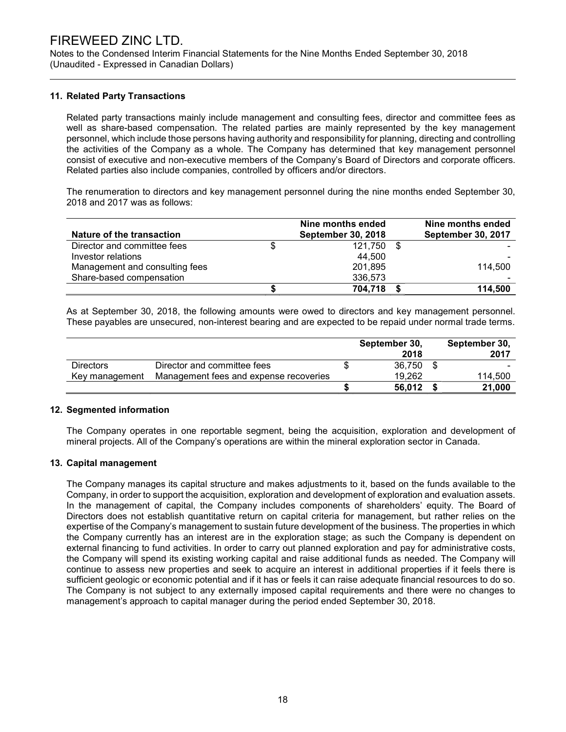Notes to the Condensed Interim Financial Statements for the Nine Months Ended September 30, 2018 (Unaudited - Expressed in Canadian Dollars)

#### 11. Related Party Transactions

Related party transactions mainly include management and consulting fees, director and committee fees as well as share-based compensation. The related parties are mainly represented by the key management personnel, which include those persons having authority and responsibility for planning, directing and controlling the activities of the Company as a whole. The Company has determined that key management personnel consist of executive and non-executive members of the Company's Board of Directors and corporate officers. Related parties also include companies, controlled by officers and/or directors.

The renumeration to directors and key management personnel during the nine months ended September 30, 2018 and 2017 was as follows:

| Nature of the transaction      | Nine months ended<br><b>September 30, 2018</b> | Nine months ended<br><b>September 30, 2017</b> |
|--------------------------------|------------------------------------------------|------------------------------------------------|
| Director and committee fees    | \$<br>121.750                                  |                                                |
| Investor relations             | 44,500                                         |                                                |
| Management and consulting fees | 201,895                                        | 114.500                                        |
| Share-based compensation       | 336,573                                        |                                                |
|                                | 704,718                                        | 114.500                                        |

As at September 30, 2018, the following amounts were owed to directors and key management personnel. These payables are unsecured, non-interest bearing and are expected to be repaid under normal trade terms.

|                  |                                        | September 30,<br>2018 | September 30,<br>2017 |
|------------------|----------------------------------------|-----------------------|-----------------------|
| <b>Directors</b> | Director and committee fees            | 36.750                |                       |
| Key management   | Management fees and expense recoveries | 19.262                | 114.500               |
|                  |                                        | 56,012                | 21,000                |

#### 12. Segmented information

 The Company operates in one reportable segment, being the acquisition, exploration and development of mineral projects. All of the Company's operations are within the mineral exploration sector in Canada.

#### 13. Capital management

The Company manages its capital structure and makes adjustments to it, based on the funds available to the Company, in order to support the acquisition, exploration and development of exploration and evaluation assets. In the management of capital, the Company includes components of shareholders' equity. The Board of Directors does not establish quantitative return on capital criteria for management, but rather relies on the expertise of the Company's management to sustain future development of the business. The properties in which the Company currently has an interest are in the exploration stage; as such the Company is dependent on external financing to fund activities. In order to carry out planned exploration and pay for administrative costs, the Company will spend its existing working capital and raise additional funds as needed. The Company will continue to assess new properties and seek to acquire an interest in additional properties if it feels there is sufficient geologic or economic potential and if it has or feels it can raise adequate financial resources to do so. The Company is not subject to any externally imposed capital requirements and there were no changes to management's approach to capital manager during the period ended September 30, 2018.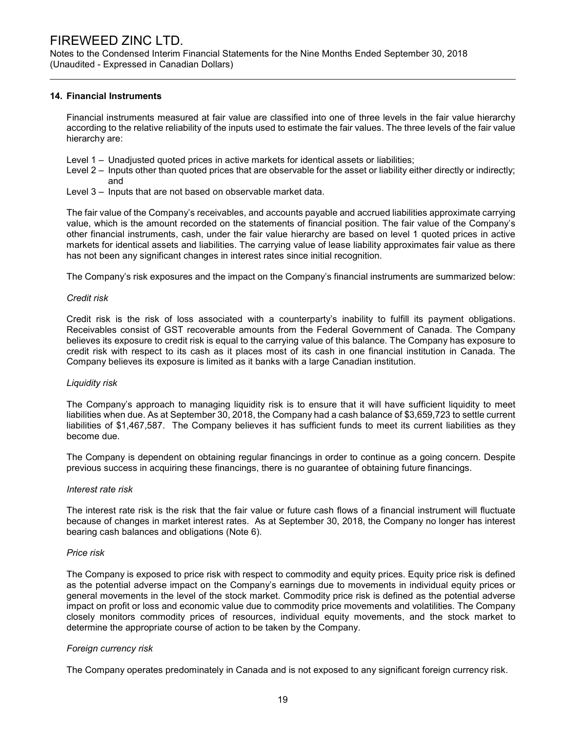Notes to the Condensed Interim Financial Statements for the Nine Months Ended September 30, 2018 (Unaudited - Expressed in Canadian Dollars)

#### 14. Financial Instruments

Financial instruments measured at fair value are classified into one of three levels in the fair value hierarchy according to the relative reliability of the inputs used to estimate the fair values. The three levels of the fair value hierarchy are:

- Level 1 Unadjusted quoted prices in active markets for identical assets or liabilities;
- Level 2 Inputs other than quoted prices that are observable for the asset or liability either directly or indirectly; and
- Level 3 Inputs that are not based on observable market data.

The fair value of the Company's receivables, and accounts payable and accrued liabilities approximate carrying value, which is the amount recorded on the statements of financial position. The fair value of the Company's other financial instruments, cash, under the fair value hierarchy are based on level 1 quoted prices in active markets for identical assets and liabilities. The carrying value of lease liability approximates fair value as there has not been any significant changes in interest rates since initial recognition.

The Company's risk exposures and the impact on the Company's financial instruments are summarized below:

#### Credit risk

Credit risk is the risk of loss associated with a counterparty's inability to fulfill its payment obligations. Receivables consist of GST recoverable amounts from the Federal Government of Canada. The Company believes its exposure to credit risk is equal to the carrying value of this balance. The Company has exposure to credit risk with respect to its cash as it places most of its cash in one financial institution in Canada. The Company believes its exposure is limited as it banks with a large Canadian institution.

#### Liquidity risk

The Company's approach to managing liquidity risk is to ensure that it will have sufficient liquidity to meet liabilities when due. As at September 30, 2018, the Company had a cash balance of \$3,659,723 to settle current liabilities of \$1,467,587. The Company believes it has sufficient funds to meet its current liabilities as they become due.

The Company is dependent on obtaining regular financings in order to continue as a going concern. Despite previous success in acquiring these financings, there is no guarantee of obtaining future financings.

#### Interest rate risk

The interest rate risk is the risk that the fair value or future cash flows of a financial instrument will fluctuate because of changes in market interest rates. As at September 30, 2018, the Company no longer has interest bearing cash balances and obligations (Note 6).

#### Price risk

The Company is exposed to price risk with respect to commodity and equity prices. Equity price risk is defined as the potential adverse impact on the Company's earnings due to movements in individual equity prices or general movements in the level of the stock market. Commodity price risk is defined as the potential adverse impact on profit or loss and economic value due to commodity price movements and volatilities. The Company closely monitors commodity prices of resources, individual equity movements, and the stock market to determine the appropriate course of action to be taken by the Company.

#### Foreign currency risk

The Company operates predominately in Canada and is not exposed to any significant foreign currency risk.